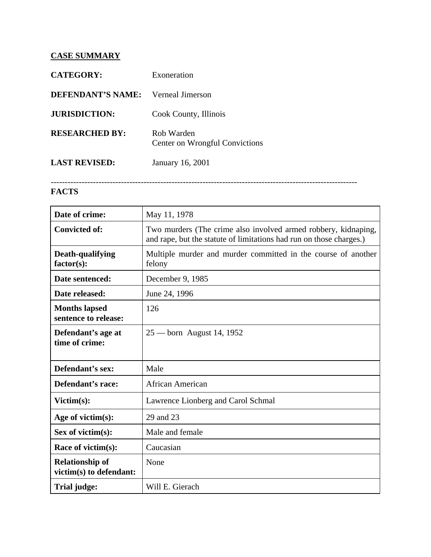## **CASE SUMMARY**

| <b>CATEGORY:</b>      | Exoneration                                         |
|-----------------------|-----------------------------------------------------|
| DEFENDANT'S NAME:     | Verneal Jimerson                                    |
| <b>JURISDICTION:</b>  | Cook County, Illinois                               |
| <b>RESEARCHED BY:</b> | Rob Warden<br><b>Center on Wrongful Convictions</b> |
| <b>LAST REVISED:</b>  | January 16, 2001                                    |

## -------------------------------------------------------------------------------------------------------------

## **FACTS**

| Date of crime:                                    | May 11, 1978                                                                                                                          |
|---------------------------------------------------|---------------------------------------------------------------------------------------------------------------------------------------|
| <b>Convicted of:</b>                              | Two murders (The crime also involved armed robbery, kidnaping,<br>and rape, but the statute of limitations had run on those charges.) |
| Death-qualifying<br>$factor(s)$ :                 | Multiple murder and murder committed in the course of another<br>felony                                                               |
| Date sentenced:                                   | December 9, 1985                                                                                                                      |
| Date released:                                    | June 24, 1996                                                                                                                         |
| <b>Months lapsed</b><br>sentence to release:      | 126                                                                                                                                   |
| Defendant's age at<br>time of crime:              | $25 -$ born August 14, 1952                                                                                                           |
| Defendant's sex:                                  | Male                                                                                                                                  |
| Defendant's race:                                 | <b>African American</b>                                                                                                               |
| Victim(s):                                        | Lawrence Lionberg and Carol Schmal                                                                                                    |
| Age of victim $(s)$ :                             | 29 and 23                                                                                                                             |
| Sex of victim $(s)$ :                             | Male and female                                                                                                                       |
| Race of victim(s):                                | Caucasian                                                                                                                             |
| <b>Relationship of</b><br>victim(s) to defendant: | None                                                                                                                                  |
| Trial judge:                                      | Will E. Gierach                                                                                                                       |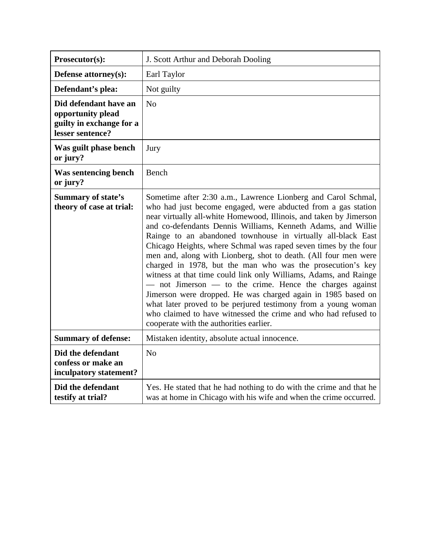| Prosecutor(s):                                                                             | J. Scott Arthur and Deborah Dooling                                                                                                                                                                                                                                                                                                                                                                                                                                                                                                                                                                                                                                                                                                                                                                                                                                                                                        |
|--------------------------------------------------------------------------------------------|----------------------------------------------------------------------------------------------------------------------------------------------------------------------------------------------------------------------------------------------------------------------------------------------------------------------------------------------------------------------------------------------------------------------------------------------------------------------------------------------------------------------------------------------------------------------------------------------------------------------------------------------------------------------------------------------------------------------------------------------------------------------------------------------------------------------------------------------------------------------------------------------------------------------------|
| Defense attorney(s):                                                                       | Earl Taylor                                                                                                                                                                                                                                                                                                                                                                                                                                                                                                                                                                                                                                                                                                                                                                                                                                                                                                                |
| Defendant's plea:                                                                          | Not guilty                                                                                                                                                                                                                                                                                                                                                                                                                                                                                                                                                                                                                                                                                                                                                                                                                                                                                                                 |
| Did defendant have an<br>opportunity plead<br>guilty in exchange for a<br>lesser sentence? | N <sub>o</sub>                                                                                                                                                                                                                                                                                                                                                                                                                                                                                                                                                                                                                                                                                                                                                                                                                                                                                                             |
| Was guilt phase bench<br>or jury?                                                          | Jury                                                                                                                                                                                                                                                                                                                                                                                                                                                                                                                                                                                                                                                                                                                                                                                                                                                                                                                       |
| Was sentencing bench<br>or jury?                                                           | Bench                                                                                                                                                                                                                                                                                                                                                                                                                                                                                                                                                                                                                                                                                                                                                                                                                                                                                                                      |
| <b>Summary of state's</b><br>theory of case at trial:                                      | Sometime after 2:30 a.m., Lawrence Lionberg and Carol Schmal,<br>who had just become engaged, were abducted from a gas station<br>near virtually all-white Homewood, Illinois, and taken by Jimerson<br>and co-defendants Dennis Williams, Kenneth Adams, and Willie<br>Rainge to an abandoned townhouse in virtually all-black East<br>Chicago Heights, where Schmal was raped seven times by the four<br>men and, along with Lionberg, shot to death. (All four men were<br>charged in 1978, but the man who was the prosecution's key<br>witness at that time could link only Williams, Adams, and Rainge<br>$-$ not Jimerson $-$ to the crime. Hence the charges against<br>Jimerson were dropped. He was charged again in 1985 based on<br>what later proved to be perjured testimony from a young woman<br>who claimed to have witnessed the crime and who had refused to<br>cooperate with the authorities earlier. |
| <b>Summary of defense:</b>                                                                 | Mistaken identity, absolute actual innocence.                                                                                                                                                                                                                                                                                                                                                                                                                                                                                                                                                                                                                                                                                                                                                                                                                                                                              |
| Did the defendant<br>confess or make an<br>inculpatory statement?                          | No                                                                                                                                                                                                                                                                                                                                                                                                                                                                                                                                                                                                                                                                                                                                                                                                                                                                                                                         |
| Did the defendant<br>testify at trial?                                                     | Yes. He stated that he had nothing to do with the crime and that he<br>was at home in Chicago with his wife and when the crime occurred.                                                                                                                                                                                                                                                                                                                                                                                                                                                                                                                                                                                                                                                                                                                                                                                   |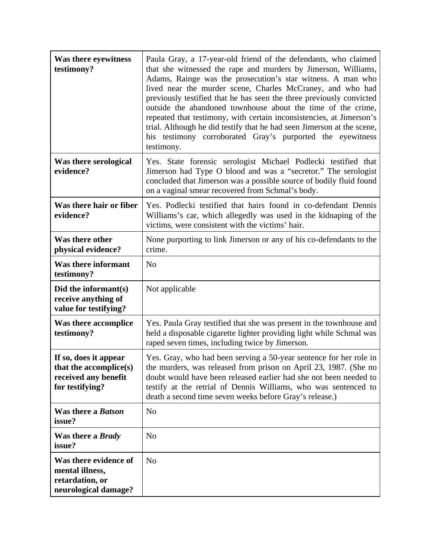| Was there eyewitness<br>testimony?                                                         | Paula Gray, a 17-year-old friend of the defendants, who claimed<br>that she witnessed the rape and murders by Jimerson, Williams,<br>Adams, Rainge was the prosecution's star witness. A man who<br>lived near the murder scene, Charles McCraney, and who had<br>previously testified that he has seen the three previously convicted<br>outside the abandoned townhouse about the time of the crime,<br>repeated that testimony, with certain inconsistencies, at Jimerson's<br>trial. Although he did testify that he had seen Jimerson at the scene,<br>his testimony corroborated Gray's purported the eyewitness<br>testimony. |
|--------------------------------------------------------------------------------------------|--------------------------------------------------------------------------------------------------------------------------------------------------------------------------------------------------------------------------------------------------------------------------------------------------------------------------------------------------------------------------------------------------------------------------------------------------------------------------------------------------------------------------------------------------------------------------------------------------------------------------------------|
| Was there serological<br>evidence?                                                         | Yes. State forensic serologist Michael Podlecki testified that<br>Jimerson had Type O blood and was a "secretor." The serologist<br>concluded that Jimerson was a possible source of bodily fluid found<br>on a vaginal smear recovered from Schmal's body.                                                                                                                                                                                                                                                                                                                                                                          |
| Was there hair or fiber<br>evidence?                                                       | Yes. Podlecki testified that hairs found in co-defendant Dennis<br>Williams's car, which allegedly was used in the kidnaping of the<br>victims, were consistent with the victims' hair.                                                                                                                                                                                                                                                                                                                                                                                                                                              |
| Was there other<br>physical evidence?                                                      | None purporting to link Jimerson or any of his co-defendants to the<br>crime.                                                                                                                                                                                                                                                                                                                                                                                                                                                                                                                                                        |
| Was there informant<br>testimony?                                                          | N <sub>o</sub>                                                                                                                                                                                                                                                                                                                                                                                                                                                                                                                                                                                                                       |
| Did the informant(s)<br>receive anything of<br>value for testifying?                       | Not applicable                                                                                                                                                                                                                                                                                                                                                                                                                                                                                                                                                                                                                       |
| Was there accomplice<br>testimony?                                                         | Yes. Paula Gray testified that she was present in the townhouse and<br>held a disposable cigarette lighter providing light while Schmal was<br>raped seven times, including twice by Jimerson.                                                                                                                                                                                                                                                                                                                                                                                                                                       |
| If so, does it appear<br>that the accomplice(s)<br>received any benefit<br>for testifying? | Yes. Gray, who had been serving a 50-year sentence for her role in<br>the murders, was released from prison on April 23, 1987. (She no<br>doubt would have been released earlier had she not been needed to<br>testify at the retrial of Dennis Williams, who was sentenced to<br>death a second time seven weeks before Gray's release.)                                                                                                                                                                                                                                                                                            |
| Was there a <i>Batson</i><br>issue?                                                        | N <sub>o</sub>                                                                                                                                                                                                                                                                                                                                                                                                                                                                                                                                                                                                                       |
| Was there a <i>Brady</i><br>issue?                                                         | N <sub>o</sub>                                                                                                                                                                                                                                                                                                                                                                                                                                                                                                                                                                                                                       |
| Was there evidence of<br>mental illness,<br>retardation, or<br>neurological damage?        | N <sub>o</sub>                                                                                                                                                                                                                                                                                                                                                                                                                                                                                                                                                                                                                       |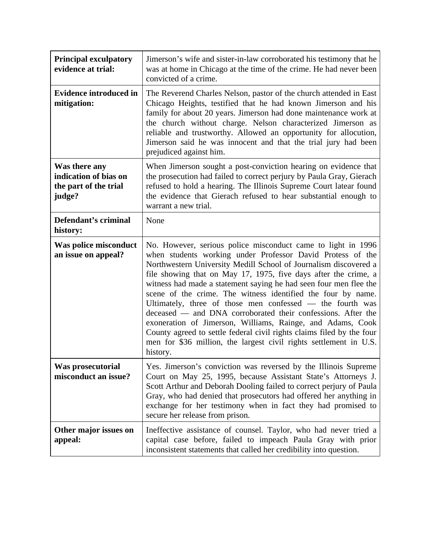| <b>Principal exculpatory</b><br>evidence at trial:                        | Jimerson's wife and sister-in-law corroborated his testimony that he<br>was at home in Chicago at the time of the crime. He had never been<br>convicted of a crime.                                                                                                                                                                                                                                                                                                                                                                                                                                                                                                                                                                                         |
|---------------------------------------------------------------------------|-------------------------------------------------------------------------------------------------------------------------------------------------------------------------------------------------------------------------------------------------------------------------------------------------------------------------------------------------------------------------------------------------------------------------------------------------------------------------------------------------------------------------------------------------------------------------------------------------------------------------------------------------------------------------------------------------------------------------------------------------------------|
| <b>Evidence introduced in</b><br>mitigation:                              | The Reverend Charles Nelson, pastor of the church attended in East<br>Chicago Heights, testified that he had known Jimerson and his<br>family for about 20 years. Jimerson had done maintenance work at<br>the church without charge. Nelson characterized Jimerson as<br>reliable and trustworthy. Allowed an opportunity for allocution,<br>Jimerson said he was innocent and that the trial jury had been<br>prejudiced against him.                                                                                                                                                                                                                                                                                                                     |
| Was there any<br>indication of bias on<br>the part of the trial<br>judge? | When Jimerson sought a post-conviction hearing on evidence that<br>the prosecution had failed to correct perjury by Paula Gray, Gierach<br>refused to hold a hearing. The Illinois Supreme Court latear found<br>the evidence that Gierach refused to hear substantial enough to<br>warrant a new trial.                                                                                                                                                                                                                                                                                                                                                                                                                                                    |
| Defendant's criminal<br>history:                                          | None                                                                                                                                                                                                                                                                                                                                                                                                                                                                                                                                                                                                                                                                                                                                                        |
| <b>Was police misconduct</b><br>an issue on appeal?                       | No. However, serious police misconduct came to light in 1996<br>when students working under Professor David Protess of the<br>Northwestern University Medill School of Journalism discovered a<br>file showing that on May 17, 1975, five days after the crime, a<br>witness had made a statement saying he had seen four men flee the<br>scene of the crime. The witness identified the four by name.<br>Ultimately, three of those men confessed — the fourth was<br>deceased — and DNA corroborated their confessions. After the<br>exoneration of Jimerson, Williams, Rainge, and Adams, Cook<br>County agreed to settle federal civil rights claims filed by the four<br>men for \$36 million, the largest civil rights settlement in U.S.<br>history. |
| Was prosecutorial<br>misconduct an issue?                                 | Yes. Jimerson's conviction was reversed by the Illinois Supreme<br>Court on May 25, 1995, because Assistant State's Attorneys J.<br>Scott Arthur and Deborah Dooling failed to correct perjury of Paula<br>Gray, who had denied that prosecutors had offered her anything in<br>exchange for her testimony when in fact they had promised to<br>secure her release from prison.                                                                                                                                                                                                                                                                                                                                                                             |
| Other major issues on<br>appeal:                                          | Ineffective assistance of counsel. Taylor, who had never tried a<br>capital case before, failed to impeach Paula Gray with prior<br>inconsistent statements that called her credibility into question.                                                                                                                                                                                                                                                                                                                                                                                                                                                                                                                                                      |